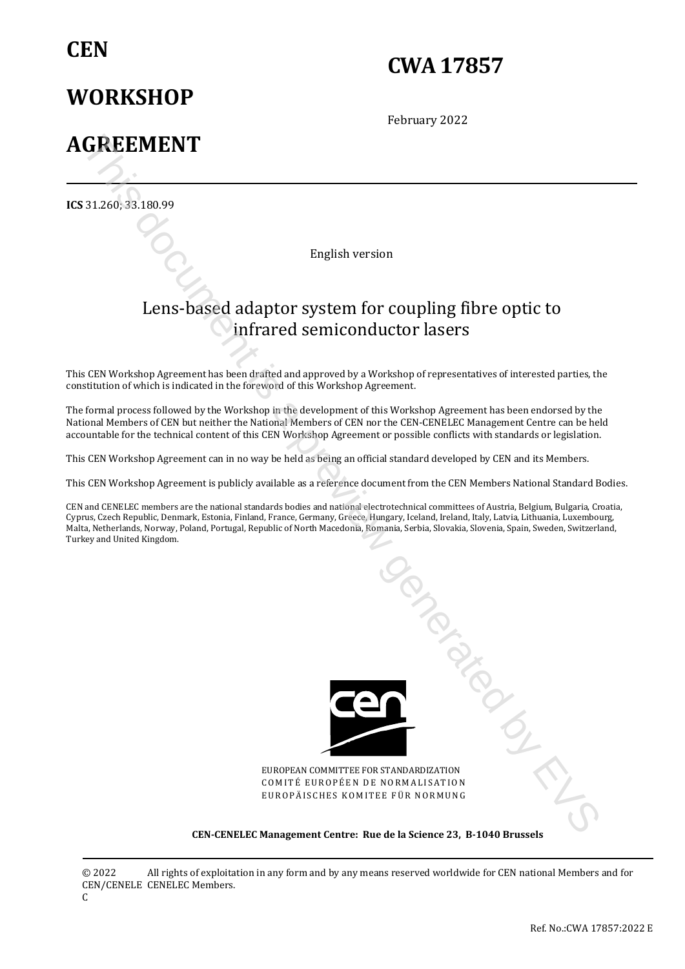## **CEN**

# **CWA 17857**

February 2022

# **AGREEMENT**

**WORKSHOP** 

**ICS** 31.260; 33.180.99

English version

## Lens-based adaptor system for coupling fibre optic to infrared semiconductor lasers

This CEN Workshop Agreement has been drafted and approved by a Workshop of representatives of interested parties, the constitution of which is indicated in the foreword of this Workshop Agreement.

The formal process followed by the Workshop in the development of this Workshop Agreement has been endorsed by the National Members of CEN but neither the National Members of CEN nor the CEN-CENELEC Management Centre can be held accountable for the technical content of this CEN Workshop Agreement or possible conflicts with standards or legislation.

This CEN Workshop Agreement can in no way be held as being an official standard developed by CEN and its Members.

This CEN Workshop Agreement is publicly available as a reference document from the CEN Members National Standard Bodies.

CEN and CENELEC members are the national standards bodies and national electrotechnical committees of Austria, Belgium, Bulgaria, Croatia, Cyprus, Czech Republic, Denmark, Estonia, Finland, France, Germany, Greece, Hungary, Iceland, Ireland, Italy, Latvia, Lithuania, Luxembourg, Malta, Netherlands, Norway, Poland, Portugal, Republic of North Macedonia, Romania, Serbia, Slovakia, Slovenia, Spain, Sweden, Switzerland, Turkey and United Kingdom.



EUROPEAN COMMITTEE FOR STANDARDIZATION COMITÉ EUROPÉEN DE NORMALISATION EUROPÄISCHES KOMITEE FÜR NORMUNG

#### **CEN-CENELEC Management Centre: Rue de la Science 23, B-1040 Brussels**

© 2022 CEN/CENELE CENELEC Members. All rights of exploitation in any form and by any means reserved worldwide for CEN national Members and for

C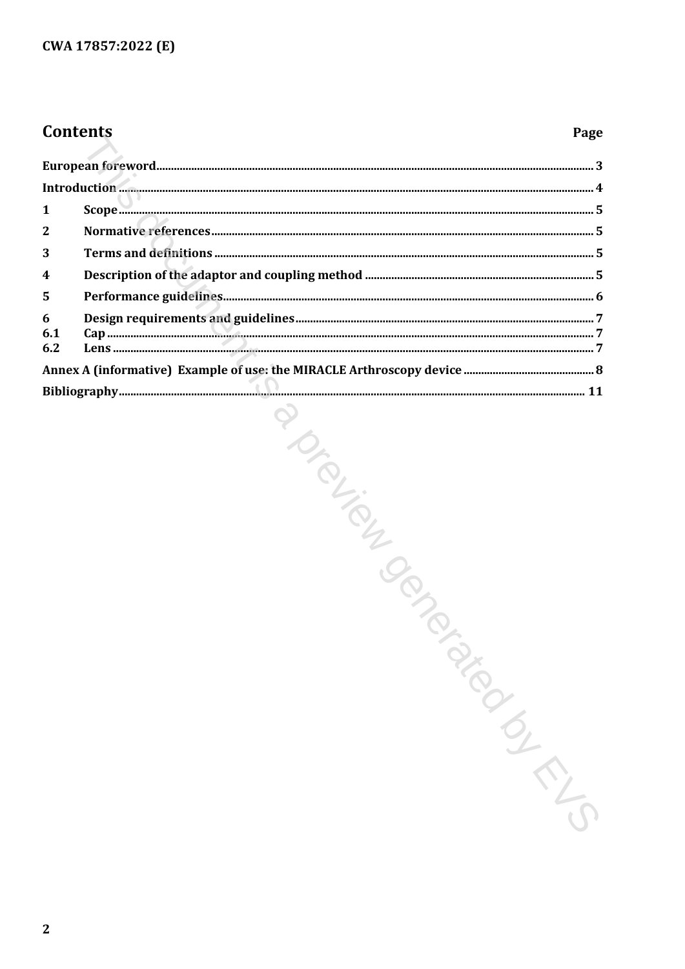## **Contents**

#### Page

| 1                       |                   |  |
|-------------------------|-------------------|--|
| $\mathbf{2}$            |                   |  |
| 3                       |                   |  |
| $\overline{\mathbf{4}}$ |                   |  |
| 5                       |                   |  |
| 6                       |                   |  |
| 6.1<br>6.2              |                   |  |
|                         |                   |  |
|                         |                   |  |
|                         | POLICING POLICING |  |
|                         |                   |  |
|                         |                   |  |
|                         |                   |  |
|                         |                   |  |
|                         |                   |  |
|                         |                   |  |
|                         |                   |  |
|                         |                   |  |
|                         |                   |  |
|                         |                   |  |
|                         |                   |  |
|                         |                   |  |
|                         |                   |  |
|                         |                   |  |
|                         |                   |  |
|                         |                   |  |
|                         |                   |  |
|                         |                   |  |
|                         |                   |  |
|                         |                   |  |
| $\mathbf{2}$            |                   |  |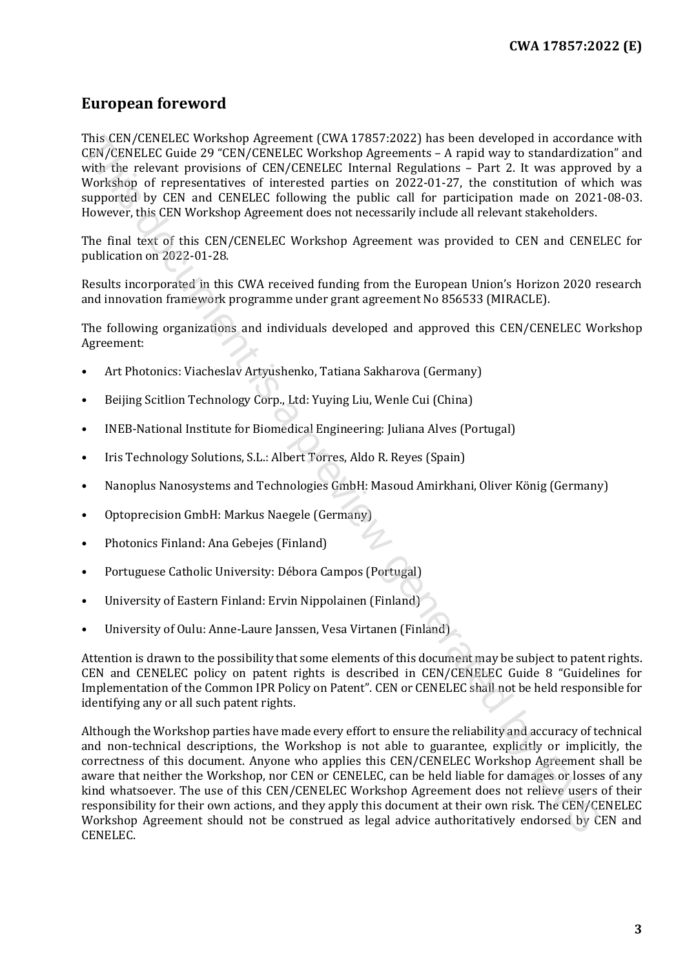## <span id="page-2-0"></span>**European foreword**

This CEN/CENELEC Workshop Agreement (CWA 17857:2022) has been developed in accordance with CEN/CENELEC Guide 29 "CEN/CENELEC Workshop Agreements – A rapid way to standardization" and with the relevant provisions of CEN/CENELEC Internal Regulations – Part 2. It was approved by a Workshop of representatives of interested parties on 2022-01-27, the constitution of which was supported by CEN and CENELEC following the public call for participation made on 2021-08-03. However, this CEN Workshop Agreement does not necessarily include all relevant stakeholders.

The final text of this CEN/CENELEC Workshop Agreement was provided to CEN and CENELEC for publication on 2022-01-28.

Results incorporated in this CWA received funding from the European Union's Horizon 2020 research and innovation framework programme under grant agreement No 856533 (MIRACLE).

The following organizations and individuals developed and approved this CEN/CENELEC Workshop Agreement:

- Art Photonics: Viacheslav Artyushenko, Tatiana Sakharova (Germany)
- Beijing Scitlion Technology Corp., Ltd: Yuying Liu, Wenle Cui (China)
- INEB-National Institute for Biomedical Engineering: Juliana Alves (Portugal)
- Iris Technology Solutions, S.L.: Albert Torres, Aldo R. Reyes (Spain)
- Nanoplus Nanosystems and Technologies GmbH: Masoud Amirkhani, Oliver König (Germany)
- Optoprecision GmbH: Markus Naegele (Germany)
- Photonics Finland: Ana Gebejes (Finland)
- Portuguese Catholic University: Débora Campos (Portugal)
- University of Eastern Finland: Ervin Nippolainen (Finland)
- University of Oulu: Anne-Laure Janssen, Vesa Virtanen (Finland)

Attention is drawn to the possibility that some elements of this document may be subject to patent rights. CEN and CENELEC policy on patent rights is described in CEN/CENELEC Guide 8 "Guidelines for Implementation of the Common IPR Policy on Patent". CEN or CENELEC shall not be held responsible for identifying any or all such patent rights.

Although the Workshop parties have made every effort to ensure the reliability and accuracy of technical and non-technical descriptions, the Workshop is not able to guarantee, explicitly or implicitly, the correctness of this document. Anyone who applies this CEN/CENELEC Workshop Agreement shall be aware that neither the Workshop, nor CEN or CENELEC, can be held liable for damages or losses of any kind whatsoever. The use of this CEN/CENELEC Workshop Agreement does not relieve users of their responsibility for their own actions, and they apply this document at their own risk. The CEN/CENELEC Workshop Agreement should not be construed as legal advice authoritatively endorsed by CEN and CENELEC. This CRIVICENE IC workshop Agreement (What 17857-2022) has been developed in ocordinated with the relaxation of the method of the control of the sevent from the multiple subsequent in the sevent provision of CRIVCENELEC (n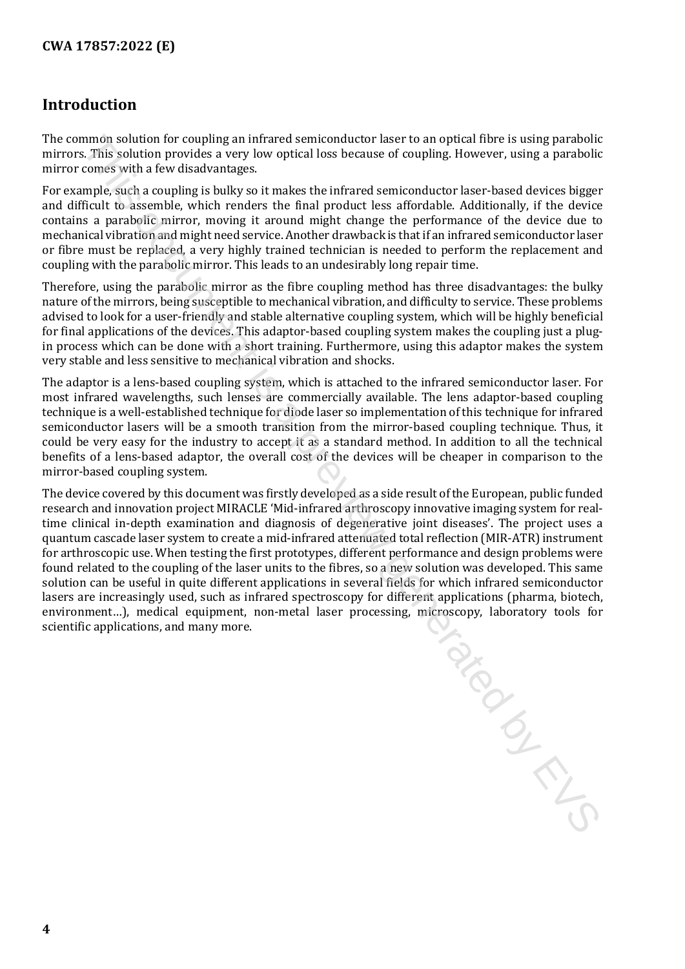### <span id="page-3-0"></span>**Introduction**

The common solution for coupling an infrared semiconductor laser to an optical fibre is using parabolic mirrors. This solution provides a very low optical loss because of coupling. However, using a parabolic mirror comes with a few disadvantages.

For example, such a coupling is bulky so it makes the infrared semiconductor laser-based devices bigger and difficult to assemble, which renders the final product less affordable. Additionally, if the device contains a parabolic mirror, moving it around might change the performance of the device due to mechanical vibration and might need service. Another drawback is that if an infrared semiconductor laser or fibre must be replaced, a very highly trained technician is needed to perform the replacement and coupling with the parabolic mirror. This leads to an undesirably long repair time.

Therefore, using the parabolic mirror as the fibre coupling method has three disadvantages: the bulky nature of the mirrors, being susceptible to mechanical vibration, and difficulty to service. These problems advised to look for a user-friendly and stable alternative coupling system, which will be highly beneficial for final applications of the devices. This adaptor-based coupling system makes the coupling just a plugin process which can be done with a short training. Furthermore, using this adaptor makes the system very stable and less sensitive to mechanical vibration and shocks.

The adaptor is a lens-based coupling system, which is attached to the infrared semiconductor laser. For most infrared wavelengths, such lenses are commercially available. The lens adaptor-based coupling technique is a well-established technique for diode laser so implementation of this technique for infrared semiconductor lasers will be a smooth transition from the mirror-based coupling technique. Thus, it could be very easy for the industry to accept it as a standard method. In addition to all the technical benefits of a lens-based adaptor, the overall cost of the devices will be cheaper in comparison to the mirror-based coupling system.

The device covered by this document was firstly developed as a side result of the European, public funded research and innovation project MIRACLE 'Mid-infrared arthroscopy innovative imaging system for realtime clinical in-depth examination and diagnosis of degenerative joint diseases'. The project uses a quantum cascade laser system to create a mid-infrared attenuated total reflection (MIR-ATR) instrument for arthroscopic use. When testing the first prototypes, different performance and design problems were found related to the coupling of the laser units to the fibres, so a new solution was developed. This same solution can be useful in quite different applications in several fields for which infrared semiconductor lasers are increasingly used, such as infrared spectroscopy for different applications (pharma, biotech, environment…), medical equipment, non-metal laser processing, microscopy, laboratory tools for scientific applications, and many more. TON DOCKS